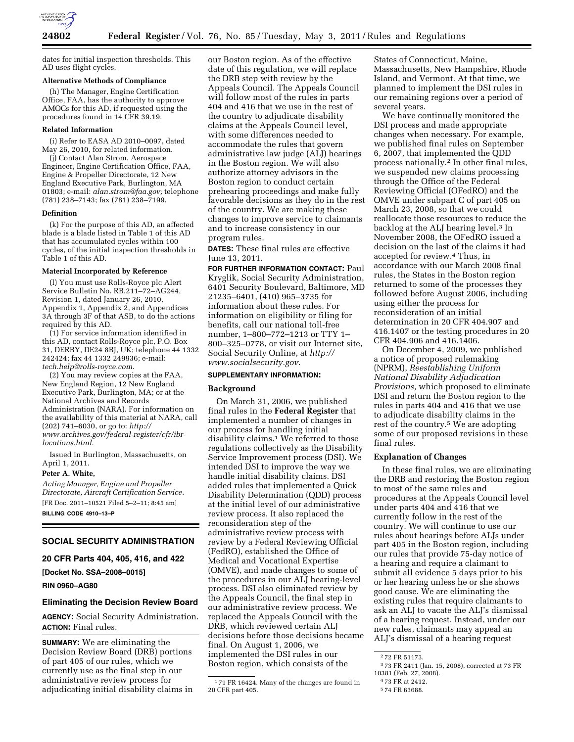

dates for initial inspection thresholds. This AD uses flight cycles.

#### **Alternative Methods of Compliance**

(h) The Manager, Engine Certification Office, FAA, has the authority to approve AMOCs for this AD, if requested using the procedures found in 14 CFR 39.19.

#### **Related Information**

(i) Refer to EASA AD 2010–0097, dated May 26, 2010, for related information.

(j) Contact Alan Strom, Aerospace Engineer, Engine Certification Office, FAA, Engine & Propeller Directorate, 12 New England Executive Park, Burlington, MA 01803; e-mail: *[alan.strom@faa.gov;](mailto:alan.strom@faa.gov)* telephone (781) 238–7143; fax (781) 238–7199.

#### **Definition**

(k) For the purpose of this AD, an affected blade is a blade listed in Table 1 of this AD that has accumulated cycles within 100 cycles, of the initial inspection thresholds in Table 1 of this AD.

#### **Material Incorporated by Reference**

(l) You must use Rolls-Royce plc Alert Service Bulletin No. RB.211–72–AG244, Revision 1, dated January 26, 2010, Appendix 1, Appendix 2, and Appendices 3A through 3F of that ASB, to do the actions required by this AD.

(1) For service information identified in this AD, contact Rolls-Royce plc, P.O. Box 31, DERBY, DE24 8BJ, UK; telephone 44 1332 242424; fax 44 1332 249936; e-mail: *[tech.help@rolls-royce.com.](mailto:tech.help@rolls-royce.com)* 

(2) You may review copies at the FAA, New England Region, 12 New England Executive Park, Burlington, MA; or at the National Archives and Records Administration (NARA). For information on the availability of this material at NARA, call (202) 741–6030, or go to: *[http://](http://www.archives.gov/federal-register/cfr/ibr-locations.html) [www.archives.gov/federal-register/cfr/ibr](http://www.archives.gov/federal-register/cfr/ibr-locations.html)[locations.html.](http://www.archives.gov/federal-register/cfr/ibr-locations.html)* 

Issued in Burlington, Massachusetts, on April 1, 2011.

#### **Peter A. White,**

*Acting Manager, Engine and Propeller Directorate, Aircraft Certification Service.*  [FR Doc. 2011–10521 Filed 5–2–11; 8:45 am] **BILLING CODE 4910–13–P** 

# **SOCIAL SECURITY ADMINISTRATION**

#### **20 CFR Parts 404, 405, 416, and 422**

**[Docket No. SSA–2008–0015]** 

# **RIN 0960–AG80**

# **Eliminating the Decision Review Board**

**AGENCY:** Social Security Administration. **ACTION:** Final rules.

**SUMMARY:** We are eliminating the Decision Review Board (DRB) portions of part 405 of our rules, which we currently use as the final step in our administrative review process for adjudicating initial disability claims in

our Boston region. As of the effective date of this regulation, we will replace the DRB step with review by the Appeals Council. The Appeals Council will follow most of the rules in parts 404 and 416 that we use in the rest of the country to adjudicate disability claims at the Appeals Council level, with some differences needed to accommodate the rules that govern administrative law judge (ALJ) hearings in the Boston region. We will also authorize attorney advisors in the Boston region to conduct certain prehearing proceedings and make fully favorable decisions as they do in the rest of the country. We are making these changes to improve service to claimants and to increase consistency in our program rules.

**DATES:** These final rules are effective June 13, 2011.

**FOR FURTHER INFORMATION CONTACT:** Paul Kryglik, Social Security Administration, 6401 Security Boulevard, Baltimore, MD 21235–6401, (410) 965–3735 for information about these rules. For information on eligibility or filing for benefits, call our national toll-free number, 1–800–772–1213 or TTY 1– 800–325–0778, or visit our Internet site, Social Security Online, at *[http://](http://www.socialsecurity.gov)  [www.socialsecurity.gov](http://www.socialsecurity.gov)*.

# **SUPPLEMENTARY INFORMATION:**

#### **Background**

On March 31, 2006, we published final rules in the **Federal Register** that implemented a number of changes in our process for handling initial disability claims.1 We referred to those regulations collectively as the Disability Service Improvement process (DSI). We intended DSI to improve the way we handle initial disability claims. DSI added rules that implemented a Quick Disability Determination (QDD) process at the initial level of our administrative review process. It also replaced the reconsideration step of the administrative review process with review by a Federal Reviewing Official (FedRO), established the Office of Medical and Vocational Expertise (OMVE), and made changes to some of the procedures in our ALJ hearing-level process. DSI also eliminated review by the Appeals Council, the final step in our administrative review process. We replaced the Appeals Council with the DRB, which reviewed certain ALJ decisions before those decisions became final. On August 1, 2006, we implemented the DSI rules in our Boston region, which consists of the

States of Connecticut, Maine, Massachusetts, New Hampshire, Rhode Island, and Vermont. At that time, we planned to implement the DSI rules in our remaining regions over a period of several years.

We have continually monitored the DSI process and made appropriate changes when necessary. For example, we published final rules on September 6, 2007, that implemented the QDD process nationally.2 In other final rules, we suspended new claims processing through the Office of the Federal Reviewing Official (OFedRO) and the OMVE under subpart C of part 405 on March 23, 2008, so that we could reallocate those resources to reduce the backlog at the ALJ hearing level.3 In November 2008, the OFedRO issued a decision on the last of the claims it had accepted for review.4 Thus, in accordance with our March 2008 final rules, the States in the Boston region returned to some of the processes they followed before August 2006, including using either the process for reconsideration of an initial determination in 20 CFR 404.907 and 416.1407 or the testing procedures in 20 CFR 404.906 and 416.1406.

On December 4, 2009, we published a notice of proposed rulemaking (NPRM), *Reestablishing Uniform National Disability Adjudication Provisions,* which proposed to eliminate DSI and return the Boston region to the rules in parts 404 and 416 that we use to adjudicate disability claims in the rest of the country.5 We are adopting some of our proposed revisions in these final rules.

## **Explanation of Changes**

In these final rules, we are eliminating the DRB and restoring the Boston region to most of the same rules and procedures at the Appeals Council level under parts 404 and 416 that we currently follow in the rest of the country. We will continue to use our rules about hearings before ALJs under part 405 in the Boston region, including our rules that provide 75-day notice of a hearing and require a claimant to submit all evidence 5 days prior to his or her hearing unless he or she shows good cause. We are eliminating the existing rules that require claimants to ask an ALJ to vacate the ALJ's dismissal of a hearing request. Instead, under our new rules, claimants may appeal an ALJ's dismissal of a hearing request

<sup>1</sup> 71 FR 16424. Many of the changes are found in 20 CFR part 405.

<sup>2</sup> 72 FR 51173.

<sup>3</sup> 73 FR 2411 (Jan. 15, 2008), corrected at 73 FR 10381 (Feb. 27, 2008).

<sup>4</sup> 73 FR at 2412.

<sup>5</sup> 74 FR 63688.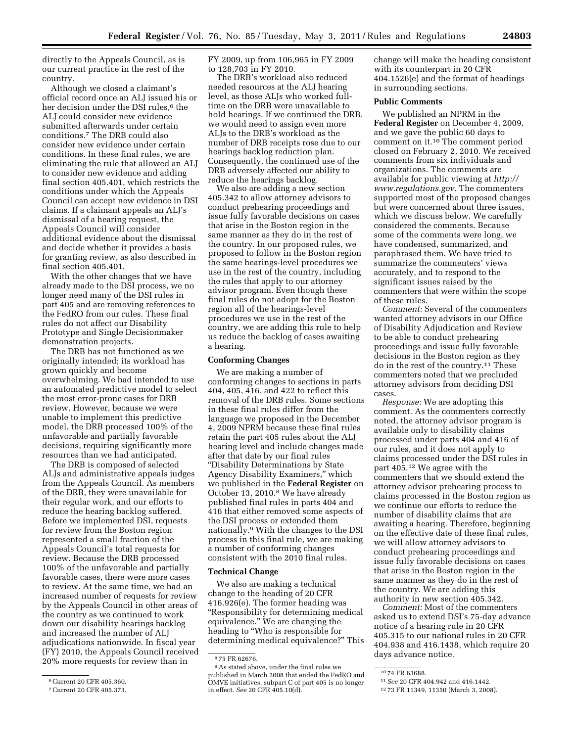directly to the Appeals Council, as is our current practice in the rest of the country.

Although we closed a claimant's official record once an ALJ issued his or her decision under the DSI rules,<sup>6</sup> the ALJ could consider new evidence submitted afterwards under certain conditions.7 The DRB could also consider new evidence under certain conditions. In these final rules, we are eliminating the rule that allowed an ALJ to consider new evidence and adding final section 405.401, which restricts the conditions under which the Appeals Council can accept new evidence in DSI claims. If a claimant appeals an ALJ's dismissal of a hearing request, the Appeals Council will consider additional evidence about the dismissal and decide whether it provides a basis for granting review, as also described in final section 405.401.

With the other changes that we have already made to the DSI process, we no longer need many of the DSI rules in part 405 and are removing references to the FedRO from our rules. These final rules do not affect our Disability Prototype and Single Decisionmaker demonstration projects.

The DRB has not functioned as we originally intended; its workload has grown quickly and become overwhelming. We had intended to use an automated predictive model to select the most error-prone cases for DRB review. However, because we were unable to implement this predictive model, the DRB processed 100% of the unfavorable and partially favorable decisions, requiring significantly more resources than we had anticipated.

The DRB is composed of selected ALJs and administrative appeals judges from the Appeals Council. As members of the DRB, they were unavailable for their regular work, and our efforts to reduce the hearing backlog suffered. Before we implemented DSI, requests for review from the Boston region represented a small fraction of the Appeals Council's total requests for review. Because the DRB processed 100% of the unfavorable and partially favorable cases, there were more cases to review. At the same time, we had an increased number of requests for review by the Appeals Council in other areas of the country as we continued to work down our disability hearings backlog and increased the number of ALJ adjudications nationwide. In fiscal year (FY) 2010, the Appeals Council received 20% more requests for review than in

FY 2009, up from 106,965 in FY 2009 to 128,703 in FY 2010.

The DRB's workload also reduced needed resources at the ALJ hearing level, as those ALJs who worked fulltime on the DRB were unavailable to hold hearings. If we continued the DRB, we would need to assign even more ALJs to the DRB's workload as the number of DRB receipts rose due to our hearings backlog reduction plan. Consequently, the continued use of the DRB adversely affected our ability to reduce the hearings backlog.

We also are adding a new section 405.342 to allow attorney advisors to conduct prehearing proceedings and issue fully favorable decisions on cases that arise in the Boston region in the same manner as they do in the rest of the country. In our proposed rules, we proposed to follow in the Boston region the same hearings-level procedures we use in the rest of the country, including the rules that apply to our attorney advisor program. Even though these final rules do not adopt for the Boston region all of the hearings-level procedures we use in the rest of the country, we are adding this rule to help us reduce the backlog of cases awaiting a hearing.

## **Conforming Changes**

We are making a number of conforming changes to sections in parts 404, 405, 416, and 422 to reflect this removal of the DRB rules. Some sections in these final rules differ from the language we proposed in the December 4, 2009 NPRM because these final rules retain the part 405 rules about the ALJ hearing level and include changes made after that date by our final rules ''Disability Determinations by State Agency Disability Examiners,'' which we published in the **Federal Register** on October 13, 2010.<sup>8</sup> We have already published final rules in parts 404 and 416 that either removed some aspects of the DSI process or extended them nationally.9 With the changes to the DSI process in this final rule, we are making a number of conforming changes consistent with the 2010 final rules.

#### **Technical Change**

We also are making a technical change to the heading of 20 CFR 416.926(e). The former heading was ''Responsibility for determining medical equivalence.'' We are changing the heading to ''Who is responsible for determining medical equivalence?'' This change will make the heading consistent with its counterpart in 20 CFR 404.1526(e) and the format of headings in surrounding sections.

## **Public Comments**

We published an NPRM in the **Federal Register** on December 4, 2009, and we gave the public 60 days to comment on it.10 The comment period closed on February 2, 2010. We received comments from six individuals and organizations. The comments are available for public viewing at *[http://](http://www.regulations.gov) [www.regulations.gov.](http://www.regulations.gov)* The commenters supported most of the proposed changes but were concerned about three issues, which we discuss below. We carefully considered the comments. Because some of the comments were long, we have condensed, summarized, and paraphrased them. We have tried to summarize the commenters' views accurately, and to respond to the significant issues raised by the commenters that were within the scope of these rules.

*Comment:* Several of the commenters wanted attorney advisors in our Office of Disability Adjudication and Review to be able to conduct prehearing proceedings and issue fully favorable decisions in the Boston region as they do in the rest of the country.11 These commenters noted that we precluded attorney advisors from deciding DSI cases.

*Response:* We are adopting this comment. As the commenters correctly noted, the attorney advisor program is available only to disability claims processed under parts 404 and 416 of our rules, and it does not apply to claims processed under the DSI rules in part 405.12 We agree with the commenters that we should extend the attorney advisor prehearing process to claims processed in the Boston region as we continue our efforts to reduce the number of disability claims that are awaiting a hearing. Therefore, beginning on the effective date of these final rules, we will allow attorney advisors to conduct prehearing proceedings and issue fully favorable decisions on cases that arise in the Boston region in the same manner as they do in the rest of the country. We are adding this authority in new section 405.342.

*Comment:* Most of the commenters asked us to extend DSI's 75-day advance notice of a hearing rule in 20 CFR 405.315 to our national rules in 20 CFR 404.938 and 416.1438, which require 20 days advance notice.

<sup>6</sup>Current 20 CFR 405.360.

<sup>7</sup>Current 20 CFR 405.373.

<sup>8</sup> 75 FR 62676.

<sup>9</sup>As stated above, under the final rules we published in March 2008 that ended the FedRO and OMVE initiatives, subpart C of part 405 is no longer in effect. *See* 20 CFR 405.10(d).

<sup>10</sup> 74 FR 63688.

<sup>11</sup>*See* 20 CFR 404.942 and 416.1442.

<sup>12</sup> 73 FR 11349, 11350 (March 3, 2008).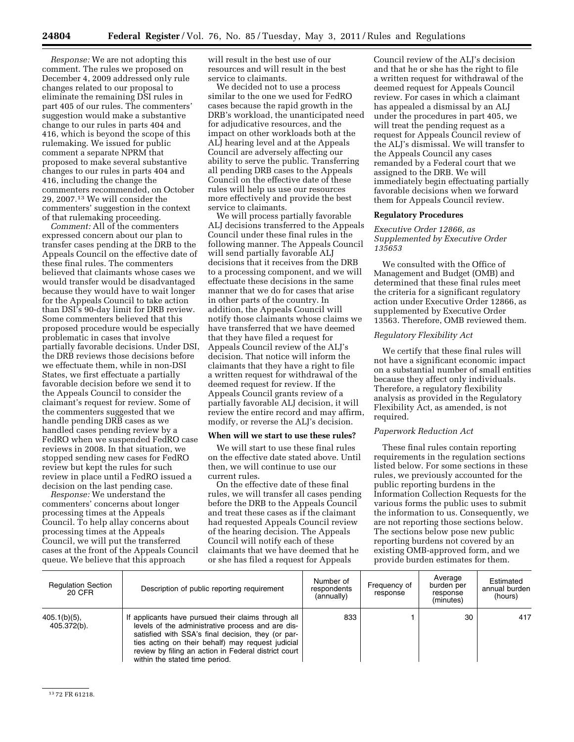*Response:* We are not adopting this comment. The rules we proposed on December 4, 2009 addressed only rule changes related to our proposal to eliminate the remaining DSI rules in part 405 of our rules. The commenters' suggestion would make a substantive change to our rules in parts 404 and 416, which is beyond the scope of this rulemaking. We issued for public comment a separate NPRM that proposed to make several substantive changes to our rules in parts 404 and 416, including the change the commenters recommended, on October 29, 2007.13 We will consider the commenters' suggestion in the context of that rulemaking proceeding.

*Comment:* All of the commenters expressed concern about our plan to transfer cases pending at the DRB to the Appeals Council on the effective date of these final rules. The commenters believed that claimants whose cases we would transfer would be disadvantaged because they would have to wait longer for the Appeals Council to take action than DSI's 90-day limit for DRB review. Some commenters believed that this proposed procedure would be especially problematic in cases that involve partially favorable decisions. Under DSI, the DRB reviews those decisions before we effectuate them, while in non-DSI States, we first effectuate a partially favorable decision before we send it to the Appeals Council to consider the claimant's request for review. Some of the commenters suggested that we handle pending DRB cases as we handled cases pending review by a FedRO when we suspended FedRO case reviews in 2008. In that situation, we stopped sending new cases for FedRO review but kept the rules for such review in place until a FedRO issued a decision on the last pending case.

*Response:* We understand the commenters' concerns about longer processing times at the Appeals Council. To help allay concerns about processing times at the Appeals Council, we will put the transferred cases at the front of the Appeals Council queue. We believe that this approach

will result in the best use of our resources and will result in the best service to claimants.

We decided not to use a process similar to the one we used for FedRO cases because the rapid growth in the DRB's workload, the unanticipated need for adjudicative resources, and the impact on other workloads both at the ALJ hearing level and at the Appeals Council are adversely affecting our ability to serve the public. Transferring all pending DRB cases to the Appeals Council on the effective date of these rules will help us use our resources more effectively and provide the best service to claimants.

We will process partially favorable ALJ decisions transferred to the Appeals Council under these final rules in the following manner. The Appeals Council will send partially favorable ALJ decisions that it receives from the DRB to a processing component, and we will effectuate these decisions in the same manner that we do for cases that arise in other parts of the country. In addition, the Appeals Council will notify those claimants whose claims we have transferred that we have deemed that they have filed a request for Appeals Council review of the ALJ's decision. That notice will inform the claimants that they have a right to file a written request for withdrawal of the deemed request for review. If the Appeals Council grants review of a partially favorable ALJ decision, it will review the entire record and may affirm, modify, or reverse the ALJ's decision.

## **When will we start to use these rules?**

We will start to use these final rules on the effective date stated above. Until then, we will continue to use our current rules.

On the effective date of these final rules, we will transfer all cases pending before the DRB to the Appeals Council and treat these cases as if the claimant had requested Appeals Council review of the hearing decision. The Appeals Council will notify each of these claimants that we have deemed that he or she has filed a request for Appeals

Council review of the ALJ's decision and that he or she has the right to file a written request for withdrawal of the deemed request for Appeals Council review. For cases in which a claimant has appealed a dismissal by an ALJ under the procedures in part 405, we will treat the pending request as a request for Appeals Council review of the ALJ's dismissal. We will transfer to the Appeals Council any cases remanded by a Federal court that we assigned to the DRB. We will immediately begin effectuating partially favorable decisions when we forward them for Appeals Council review.

## **Regulatory Procedures**

## *Executive Order 12866, as Supplemented by Executive Order 135653*

We consulted with the Office of Management and Budget (OMB) and determined that these final rules meet the criteria for a significant regulatory action under Executive Order 12866, as supplemented by Executive Order 13563. Therefore, OMB reviewed them.

## *Regulatory Flexibility Act*

We certify that these final rules will not have a significant economic impact on a substantial number of small entities because they affect only individuals. Therefore, a regulatory flexibility analysis as provided in the Regulatory Flexibility Act, as amended, is not required.

# *Paperwork Reduction Act*

These final rules contain reporting requirements in the regulation sections listed below. For some sections in these rules, we previously accounted for the public reporting burdens in the Information Collection Requests for the various forms the public uses to submit the information to us. Consequently, we are not reporting those sections below. The sections below pose new public reporting burdens not covered by an existing OMB-approved form, and we provide burden estimates for them.

| <b>Regulation Section</b><br>20 CFR | Description of public reporting requirement                                                                                                                                                                                                                                                                   | Number of<br>respondents<br>(annually) | Frequency of<br>response | Average<br>burden per<br>response<br>(minutes) | Estimated<br>annual burden<br>(hours) |
|-------------------------------------|---------------------------------------------------------------------------------------------------------------------------------------------------------------------------------------------------------------------------------------------------------------------------------------------------------------|----------------------------------------|--------------------------|------------------------------------------------|---------------------------------------|
| $405.1(b)(5)$ ,<br>405.372(b).      | If applicants have pursued their claims through all<br>levels of the administrative process and are dis-<br>satisfied with SSA's final decision, they (or par-<br>ties acting on their behalf) may request judicial<br>review by filing an action in Federal district court<br>within the stated time period. | 833                                    |                          | 30                                             | 417                                   |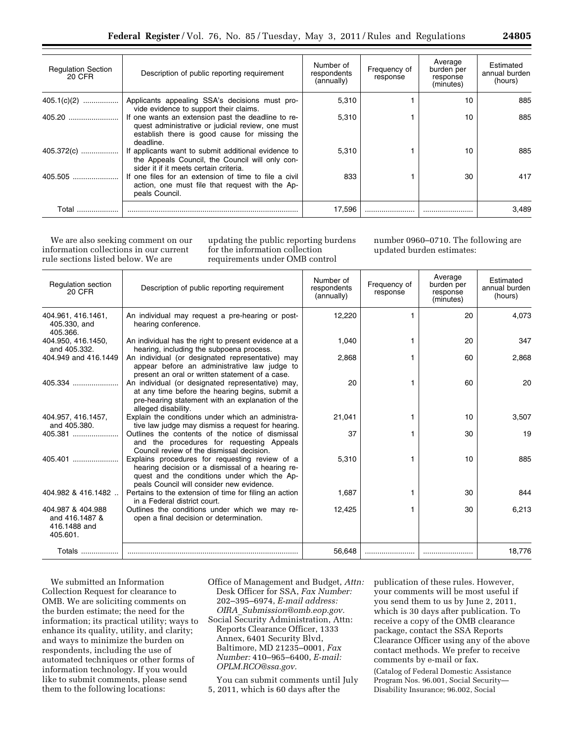| <b>Regulation Section</b><br>20 CFR | Description of public reporting requirement                                                                                                                           | Number of<br>respondents<br>(annually) | Frequency of<br>response | Average<br>burden per<br>response<br>(minutes) | Estimated<br>annual burden<br>(hours) |
|-------------------------------------|-----------------------------------------------------------------------------------------------------------------------------------------------------------------------|----------------------------------------|--------------------------|------------------------------------------------|---------------------------------------|
| $405.1(c)(2)$                       | Applicants appealing SSA's decisions must pro-<br>vide evidence to support their claims.                                                                              | 5,310                                  |                          | 10                                             | 885                                   |
| 405.20                              | If one wants an extension past the deadline to re-<br>quest administrative or judicial review, one must<br>establish there is good cause for missing the<br>deadline. | 5,310                                  |                          | 10                                             | 885                                   |
| 405.372(c)                          | If applicants want to submit additional evidence to<br>the Appeals Council, the Council will only con-<br>sider it if it meets certain criteria.                      | 5.310                                  |                          | 10                                             | 885                                   |
| $405.505$                           | If one files for an extension of time to file a civil<br>action, one must file that request with the Ap-<br>peals Council.                                            | 833                                    |                          | 30                                             | 417                                   |
| Total                               |                                                                                                                                                                       | 17,596                                 |                          |                                                | 3,489                                 |

We are also seeking comment on our information collections in our current rule sections listed below. We are

updating the public reporting burdens for the information collection requirements under OMB control

number 0960–0710. The following are updated burden estimates:

| Regulation section<br>20 CFR                                    | Description of public reporting requirement                                                                                                                                                     | Number of<br>respondents<br>(annually) | Frequency of<br>response | Average<br>burden per<br>response<br>(minutes) | Estimated<br>annual burden<br>(hours) |
|-----------------------------------------------------------------|-------------------------------------------------------------------------------------------------------------------------------------------------------------------------------------------------|----------------------------------------|--------------------------|------------------------------------------------|---------------------------------------|
| 404.961, 416.1461,<br>405.330, and<br>405.366.                  | An individual may request a pre-hearing or post-<br>hearing conference.                                                                                                                         | 12,220                                 |                          | 20                                             | 4.073                                 |
| 404.950, 416.1450,<br>and 405.332.                              | An individual has the right to present evidence at a<br>hearing, including the subpoena process.                                                                                                | 1,040                                  |                          | 20                                             | 347                                   |
| 404.949 and 416.1449                                            | An individual (or designated representative) may<br>appear before an administrative law judge to<br>present an oral or written statement of a case.                                             | 2,868                                  |                          | 60                                             | 2,868                                 |
| 405.334                                                         | An individual (or designated representative) may,<br>at any time before the hearing begins, submit a<br>pre-hearing statement with an explanation of the<br>alleged disability.                 | 20                                     |                          | 60                                             | 20                                    |
| 404.957, 416.1457,<br>and 405.380.                              | Explain the conditions under which an administra-<br>tive law judge may dismiss a request for hearing.                                                                                          | 21,041                                 |                          | 10                                             | 3,507                                 |
| 405.381                                                         | Outlines the contents of the notice of dismissal<br>and the procedures for requesting Appeals<br>Council review of the dismissal decision.                                                      | 37                                     |                          | 30                                             | 19                                    |
| $405.401$                                                       | Explains procedures for requesting review of a<br>hearing decision or a dismissal of a hearing re-<br>quest and the conditions under which the Ap-<br>peals Council will consider new evidence. | 5,310                                  |                          | 10                                             | 885                                   |
| 404.982 & 416.1482                                              | Pertains to the extension of time for filing an action<br>in a Federal district court.                                                                                                          | 1,687                                  |                          | 30                                             | 844                                   |
| 404.987 & 404.988<br>and 416.1487 &<br>416,1488 and<br>405.601. | Outlines the conditions under which we may re-<br>open a final decision or determination.                                                                                                       | 12,425                                 |                          | 30                                             | 6,213                                 |
| Totals                                                          |                                                                                                                                                                                                 | 56,648                                 |                          |                                                | 18,776                                |

We submitted an Information Collection Request for clearance to OMB. We are soliciting comments on the burden estimate; the need for the information; its practical utility; ways to enhance its quality, utility, and clarity; and ways to minimize the burden on respondents, including the use of automated techniques or other forms of information technology. If you would like to submit comments, please send them to the following locations:

- Office of Management and Budget, *Attn:*  Desk Officer for SSA, *Fax Number:*  202–395–6974, *E-mail address: OIRA*\_*[Submission@omb.eop.gov.](mailto:OIRA_Submission@omb.eop.gov)*
- Social Security Administration, Attn: Reports Clearance Officer, 1333 Annex, 6401 Security Blvd, Baltimore, MD 21235–0001, *Fax Number:* 410–965–6400, *E-mail: [OPLM.RCO@ssa.gov.](mailto:OPLM.RCO@ssa.gov)*

You can submit comments until July 5, 2011, which is 60 days after the

publication of these rules. However, your comments will be most useful if you send them to us by June 2, 2011, which is 30 days after publication. To receive a copy of the OMB clearance package, contact the SSA Reports Clearance Officer using any of the above contact methods. We prefer to receive comments by e-mail or fax.

(Catalog of Federal Domestic Assistance Program Nos. 96.001, Social Security— Disability Insurance; 96.002, Social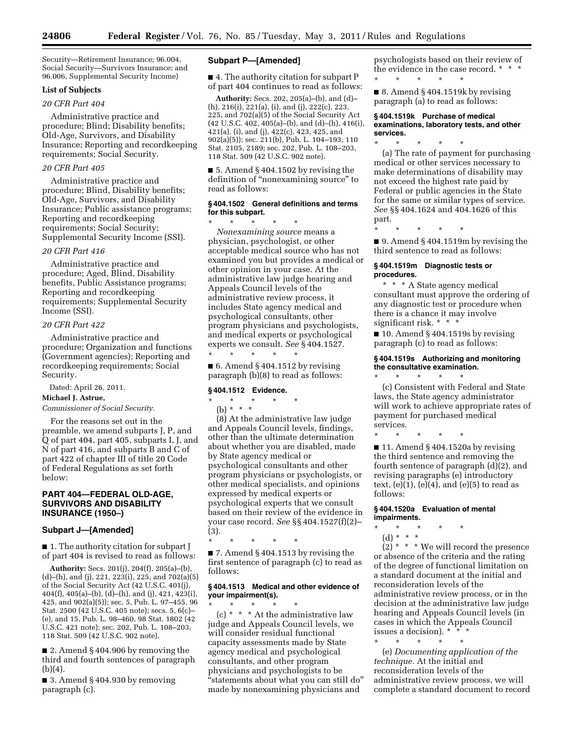Security—Retirement Insurance; 96.004, Social Security—Survivors Insurance; and 96.006, Supplemental Security Income)

## **List of Subjects**

#### *20 CFR Part 404*

Administrative practice and procedure; Blind; Disability benefits; Old-Age, Survivors, and Disability Insurance; Reporting and recordkeeping requirements; Social Security.

# *20 CFR Part 405*

Administrative practice and procedure; Blind, Disability benefits; Old-Age, Survivors, and Disability Insurance; Public assistance programs; Reporting and recordkeeping requirements; Social Security; Supplemental Security Income (SSI).

#### *20 CFR Part 416*

Administrative practice and procedure; Aged, Blind, Disability benefits, Public Assistance programs; Reporting and recordkeeping requirements; Supplemental Security Income (SSI).

# *20 CFR Part 422*

Administrative practice and procedure; Organization and functions (Government agencies); Reporting and recordkeeping requirements; Social Security.

Dated: April 26, 2011.

**Michael J. Astrue,** 

*Commissioner of Social Security.* 

For the reasons set out in the preamble, we amend subparts J, P, and Q of part 404, part 405, subparts I, J, and N of part 416, and subparts B and C of part 422 of chapter III of title 20 Code of Federal Regulations as set forth below:

# **PART 404—FEDERAL OLD-AGE, SURVIVORS AND DISABILITY INSURANCE (1950–)**

## **Subpart J—[Amended]**

■ 1. The authority citation for subpart J of part 404 is revised to read as follows:

**Authority:** Secs. 201(j), 204(f), 205(a)–(b), (d)–(h), and (j), 221, 223(i), 225, and 702(a)(5) of the Social Security Act (42 U.S.C. 401(j), 404(f), 405(a)–(b), (d)–(h), and (j), 421, 423(i), 425, and 902(a)(5)); sec. 5, Pub. L. 97–455, 96 Stat. 2500 (42 U.S.C. 405 note); secs. 5, 6(c)– (e), and 15, Pub. L. 98–460, 98 Stat. 1802 (42 U.S.C. 421 note); sec. 202, Pub. L. 108–203, 118 Stat. 509 (42 U.S.C. 902 note).

■ 2. Amend § 404.906 by removing the third and fourth sentences of paragraph  $(b)(4)$ .

■ 3. Amend § 404.930 by removing paragraph (c).

#### **Subpart P—[Amended]**

■ 4. The authority citation for subpart P of part 404 continues to read as follows:

**Authority:** Secs. 202, 205(a)–(b), and (d)– (h), 216(i), 221(a), (i), and (j), 222(c), 223, 225, and 702(a)(5) of the Social Security Act (42 U.S.C. 402, 405(a)–(b), and (d)–(h), 416(i), 421(a), (i), and (j), 422(c), 423, 425, and 902(a)(5)); sec. 211(b), Pub. L. 104–193, 110 Stat. 2105, 2189; sec. 202, Pub. L. 108–203, 118 Stat. 509 (42 U.S.C. 902 note).

■ 5. Amend § 404.1502 by revising the definition of ''nonexamining source'' to read as follows:

## **§ 404.1502 General definitions and terms for this subpart.**

 $\star$   $\star$ *Nonexamining source* means a physician, psychologist, or other acceptable medical source who has not examined you but provides a medical or other opinion in your case. At the administrative law judge hearing and Appeals Council levels of the administrative review process, it includes State agency medical and psychological consultants, other program physicians and psychologists, and medical experts or psychological experts we consult. *See*  $\frac{1}{8}$  404.1527. \* \* \* \* \*

 $\blacksquare$  6. Amend § 404.1512 by revising paragraph (b)(8) to read as follows:

## **§ 404.1512 Evidence.**

- \* \* \* \* \*
	- (b) \* \* \*

(8) At the administrative law judge and Appeals Council levels, findings, other than the ultimate determination about whether you are disabled, made by State agency medical or psychological consultants and other program physicians or psychologists, or other medical specialists, and opinions expressed by medical experts or psychological experts that we consult based on their review of the evidence in your case record. *See* §§ 404.1527(f)(2)– (3).

\* \* \* \* \*

■ 7. Amend § 404.1513 by revising the first sentence of paragraph (c) to read as follows:

# **§ 404.1513 Medical and other evidence of your impairment(s).**

\* \* \* \* \* (c) \* \* \* At the administrative law judge and Appeals Council levels, we will consider residual functional capacity assessments made by State agency medical and psychological consultants, and other program physicians and psychologists to be ''statements about what you can still do'' made by nonexamining physicians and

psychologists based on their review of the evidence in the case record. \* \* \* \* \* \* \* \*

 $\blacksquare$  8. Amend § 404.1519k by revising paragraph (a) to read as follows:

#### **§ 404.1519k Purchase of medical examinations, laboratory tests, and other services.**

\* \* \* \* \* (a) The rate of payment for purchasing medical or other services necessary to make determinations of disability may not exceed the highest rate paid by Federal or public agencies in the State for the same or similar types of service. *See* §§ 404.1624 and 404.1626 of this part.

\* \* \* \* \*

■ 9. Amend § 404.1519m by revising the third sentence to read as follows:

#### **§ 404.1519m Diagnostic tests or procedures.**

\* \* \* A State agency medical consultant must approve the ordering of any diagnostic test or procedure when there is a chance it may involve significant risk. \* \* \*

 $\blacksquare$  10. Amend § 404.1519s by revising paragraph (c) to read as follows:

## **§ 404.1519s Authorizing and monitoring the consultative examination.**

\* \* \* \* \* (c) Consistent with Federal and State laws, the State agency administrator will work to achieve appropriate rates of payment for purchased medical services.

■ 11. Amend § 404.1520a by revising the third sentence and removing the fourth sentence of paragraph (d)(2), and revising paragraphs (e) introductory text,  $(e)(1)$ ,  $(e)(4)$ , and  $(e)(5)$  to read as follows:

#### **§ 404.1520a Evaluation of mental impairments.**

\* \* \* \* \*

- \* \* \* \* \*
- (d) \* \* \*

 $(2)$  \* \* \* We will record the presence or absence of the criteria and the rating of the degree of functional limitation on a standard document at the initial and reconsideration levels of the administrative review process, or in the decision at the administrative law judge hearing and Appeals Council levels (in cases in which the Appeals Council issues a decision). \* \* \* \* \* \* \* \* \*

(e) *Documenting application of the technique.* At the initial and reconsideration levels of the administrative review process, we will complete a standard document to record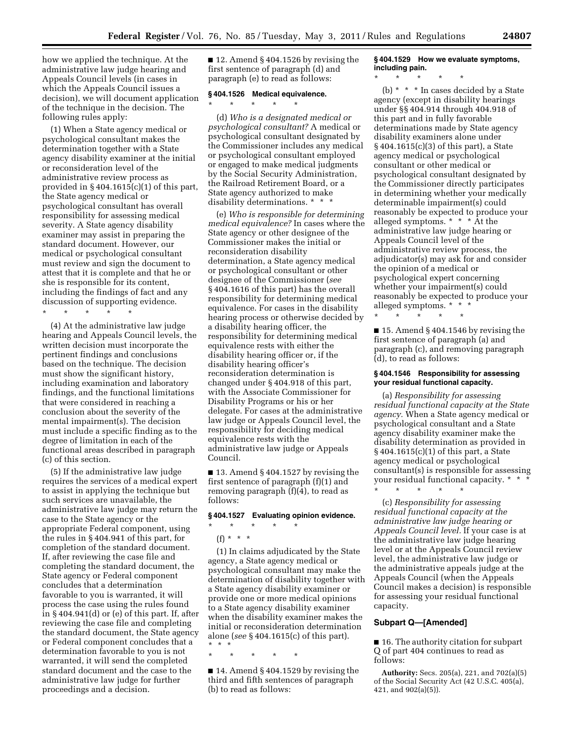how we applied the technique. At the administrative law judge hearing and Appeals Council levels (in cases in which the Appeals Council issues a decision), we will document application of the technique in the decision. The following rules apply:

(1) When a State agency medical or psychological consultant makes the determination together with a State agency disability examiner at the initial or reconsideration level of the administrative review process as provided in  $\S$  404.1615(c)(1) of this part, the State agency medical or psychological consultant has overall responsibility for assessing medical severity. A State agency disability examiner may assist in preparing the standard document. However, our medical or psychological consultant must review and sign the document to attest that it is complete and that he or she is responsible for its content, including the findings of fact and any discussion of supporting evidence.

\* \* \* \* \*

(4) At the administrative law judge hearing and Appeals Council levels, the written decision must incorporate the pertinent findings and conclusions based on the technique. The decision must show the significant history, including examination and laboratory findings, and the functional limitations that were considered in reaching a conclusion about the severity of the mental impairment(s). The decision must include a specific finding as to the degree of limitation in each of the functional areas described in paragraph (c) of this section.

(5) If the administrative law judge requires the services of a medical expert to assist in applying the technique but such services are unavailable, the administrative law judge may return the case to the State agency or the appropriate Federal component, using the rules in § 404.941 of this part, for completion of the standard document. If, after reviewing the case file and completing the standard document, the State agency or Federal component concludes that a determination favorable to you is warranted, it will process the case using the rules found in § 404.941(d) or (e) of this part. If, after reviewing the case file and completing the standard document, the State agency or Federal component concludes that a determination favorable to you is not warranted, it will send the completed standard document and the case to the administrative law judge for further proceedings and a decision.

 $\blacksquare$  12. Amend § 404.1526 by revising the first sentence of paragraph (d) and paragraph (e) to read as follows:

# **§ 404.1526 Medical equivalence.**

\* \* \* \* \*

(d) *Who is a designated medical or psychological consultant?* A medical or psychological consultant designated by the Commissioner includes any medical or psychological consultant employed or engaged to make medical judgments by the Social Security Administration, the Railroad Retirement Board, or a State agency authorized to make disability determinations. \* \* \*

(e) *Who is responsible for determining medical equivalence?* In cases where the State agency or other designee of the Commissioner makes the initial or reconsideration disability determination, a State agency medical or psychological consultant or other designee of the Commissioner (*see*  § 404.1616 of this part) has the overall responsibility for determining medical equivalence. For cases in the disability hearing process or otherwise decided by a disability hearing officer, the responsibility for determining medical equivalence rests with either the disability hearing officer or, if the disability hearing officer's reconsideration determination is changed under § 404.918 of this part, with the Associate Commissioner for Disability Programs or his or her delegate. For cases at the administrative law judge or Appeals Council level, the responsibility for deciding medical equivalence rests with the administrative law judge or Appeals Council.

 $\blacksquare$  13. Amend § 404.1527 by revising the first sentence of paragraph (f)(1) and removing paragraph (f)(4), to read as follows:

# **§ 404.1527 Evaluating opinion evidence.**   $\star$   $\star$   $\star$

 $(f) * * * *$ 

(1) In claims adjudicated by the State agency, a State agency medical or psychological consultant may make the determination of disability together with a State agency disability examiner or provide one or more medical opinions to a State agency disability examiner when the disability examiner makes the initial or reconsideration determination alone (*see* § 404.1615(c) of this part). \* \* \*

\* \* \* \* \*

 $\blacksquare$  14. Amend § 404.1529 by revising the third and fifth sentences of paragraph (b) to read as follows:

**§ 404.1529 How we evaluate symptoms, including pain.** 

\* \* \* \* \* (b) \* \* \* In cases decided by a State agency (except in disability hearings

under §§ 404.914 through 404.918 of this part and in fully favorable determinations made by State agency disability examiners alone under § 404.1615(c)(3) of this part), a State agency medical or psychological consultant or other medical or psychological consultant designated by the Commissioner directly participates in determining whether your medically determinable impairment(s) could reasonably be expected to produce your alleged symptoms. \* \* \* At the administrative law judge hearing or Appeals Council level of the administrative review process, the adjudicator(s) may ask for and consider the opinion of a medical or psychological expert concerning whether your impairment(s) could reasonably be expected to produce your alleged symptoms. \* \* \*

\* \* \* \* \*

■ 15. Amend § 404.1546 by revising the first sentence of paragraph (a) and paragraph (c), and removing paragraph (d), to read as follows:

#### **§ 404.1546 Responsibility for assessing your residual functional capacity.**

(a) *Responsibility for assessing residual functional capacity at the State agency.* When a State agency medical or psychological consultant and a State agency disability examiner make the disability determination as provided in § 404.1615(c)(1) of this part, a State agency medical or psychological consultant(s) is responsible for assessing your residual functional capacity. \* \* \* \* \* \* \* \*

(c) *Responsibility for assessing residual functional capacity at the administrative law judge hearing or Appeals Council level.* If your case is at the administrative law judge hearing level or at the Appeals Council review level, the administrative law judge or the administrative appeals judge at the Appeals Council (when the Appeals Council makes a decision) is responsible for assessing your residual functional capacity.

# **Subpart Q—[Amended]**

■ 16. The authority citation for subpart Q of part 404 continues to read as follows:

**Authority:** Secs. 205(a), 221, and 702(a)(5) of the Social Security Act (42 U.S.C. 405(a), 421, and 902(a)(5)).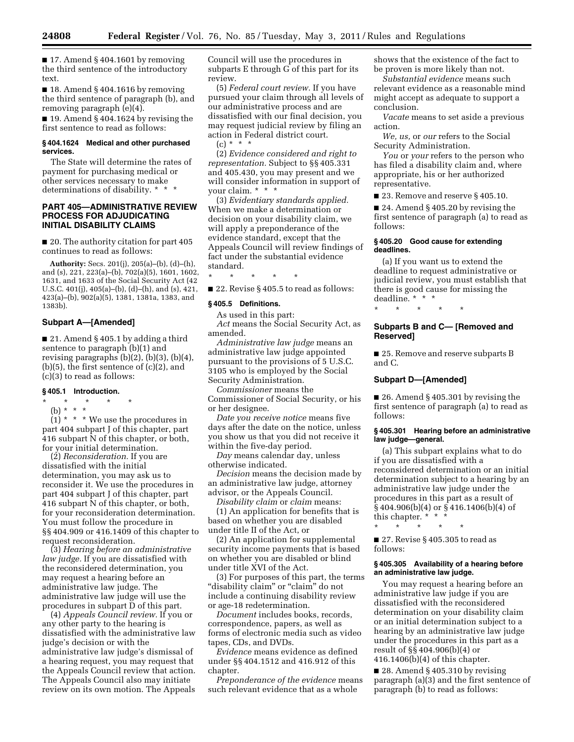$\blacksquare$  17. Amend § 404.1601 by removing the third sentence of the introductory text.

 $\blacksquare$  18. Amend § 404.1616 by removing the third sentence of paragraph (b), and removing paragraph (e)(4).

 $\blacksquare$  19. Amend § 404.1624 by revising the first sentence to read as follows:

#### **§ 404.1624 Medical and other purchased services.**

The State will determine the rates of payment for purchasing medical or other services necessary to make determinations of disability. \* \* \*

# **PART 405—ADMINISTRATIVE REVIEW PROCESS FOR ADJUDICATING INITIAL DISABILITY CLAIMS**

■ 20. The authority citation for part 405 continues to read as follows:

**Authority:** Secs. 201(j), 205(a)–(b), (d)–(h), and (s), 221, 223(a)–(b), 702(a)(5), 1601, 1602, 1631, and 1633 of the Social Security Act (42 U.S.C. 401(j), 405(a)–(b), (d)–(h), and (s), 421, 423(a)–(b), 902(a)(5), 1381, 1381a, 1383, and 1383b).

# **Subpart A—[Amended]**

 $\blacksquare$  21. Amend § 405.1 by adding a third sentence to paragraph (b)(1) and revising paragraphs (b)(2), (b)(3), (b)(4),  $(b)(5)$ , the first sentence of  $(c)(2)$ , and (c)(3) to read as follows:

# **§ 405.1 Introduction.**

- \* \* \* \* \*
- (b) \* \* \*

 $(1)$  \* \* \* We use the procedures in part 404 subpart J of this chapter, part 416 subpart N of this chapter, or both, for your initial determination.

(2) *Reconsideration.* If you are dissatisfied with the initial determination, you may ask us to reconsider it. We use the procedures in part 404 subpart J of this chapter, part 416 subpart N of this chapter, or both, for your reconsideration determination. You must follow the procedure in §§ 404.909 or 416.1409 of this chapter to request reconsideration.

(3) *Hearing before an administrative law judge.* If you are dissatisfied with the reconsidered determination, you may request a hearing before an administrative law judge. The administrative law judge will use the procedures in subpart D of this part.

(4) *Appeals Council review.* If you or any other party to the hearing is dissatisfied with the administrative law judge's decision or with the administrative law judge's dismissal of a hearing request, you may request that the Appeals Council review that action. The Appeals Council also may initiate review on its own motion. The Appeals

Council will use the procedures in subparts E through G of this part for its review.

(5) *Federal court review.* If you have pursued your claim through all levels of our administrative process and are dissatisfied with our final decision, you may request judicial review by filing an action in Federal district court.  $(c) * * * *$ 

(2) *Evidence considered and right to representation.* Subject to §§ 405.331 and 405.430, you may present and we will consider information in support of your claim. \* \* \*

(3) *Evidentiary standards applied.*  When we make a determination or decision on your disability claim, we will apply a preponderance of the evidence standard, except that the Appeals Council will review findings of fact under the substantial evidence standard.

\* \* \* \* \*

■ 22. Revise § 405.5 to read as follows:

#### **§ 405.5 Definitions.**

As used in this part:

*Act* means the Social Security Act, as amended.

*Administrative law judge* means an administrative law judge appointed pursuant to the provisions of 5 U.S.C. 3105 who is employed by the Social Security Administration.

*Commissioner* means the Commissioner of Social Security, or his or her designee.

*Date you receive notice* means five days after the date on the notice, unless you show us that you did not receive it within the five-day period.

*Day* means calendar day, unless otherwise indicated.

*Decision* means the decision made by an administrative law judge, attorney advisor, or the Appeals Council.

*Disability claim* or *claim* means: (1) An application for benefits that is based on whether you are disabled under title II of the Act, or

(2) An application for supplemental security income payments that is based on whether you are disabled or blind under title XVI of the Act.

(3) For purposes of this part, the terms "disability claim" or "claim" do not include a continuing disability review or age-18 redetermination.

*Document* includes books, records, correspondence, papers, as well as forms of electronic media such as video tapes, CDs, and DVDs.

*Evidence* means evidence as defined under §§ 404.1512 and 416.912 of this chapter.

*Preponderance of the evidence* means such relevant evidence that as a whole

shows that the existence of the fact to be proven is more likely than not.

*Substantial evidence* means such relevant evidence as a reasonable mind might accept as adequate to support a conclusion.

*Vacate* means to set aside a previous action.

*We, us,* or *our* refers to the Social Security Administration.

*You* or *your* refers to the person who has filed a disability claim and, where appropriate, his or her authorized representative.

■ 23. Remove and reserve § 405.10.

■ 24. Amend § 405.20 by revising the first sentence of paragraph (a) to read as follows:

## **§ 405.20 Good cause for extending deadlines.**

(a) If you want us to extend the deadline to request administrative or judicial review, you must establish that there is good cause for missing the deadline. \* \* \*

\* \* \* \* \*

# **Subparts B and C— [Removed and Reserved]**

■ 25. Remove and reserve subparts B and C.

## **Subpart D—[Amended]**

■ 26. Amend § 405.301 by revising the first sentence of paragraph (a) to read as follows:

#### **§ 405.301 Hearing before an administrative law judge—general.**

(a) This subpart explains what to do if you are dissatisfied with a reconsidered determination or an initial determination subject to a hearing by an administrative law judge under the procedures in this part as a result of § 404.906(b)(4) or § 416.1406(b)(4) of this chapter. \* \* \*

■ 27. Revise § 405.305 to read as follows:

\* \* \* \* \*

## **§ 405.305 Availability of a hearing before an administrative law judge.**

You may request a hearing before an administrative law judge if you are dissatisfied with the reconsidered determination on your disability claim or an initial determination subject to a hearing by an administrative law judge under the procedures in this part as a result of §§ 404.906(b)(4) or 416.1406(b)(4) of this chapter.

■ 28. Amend § 405.310 by revising paragraph (a)(3) and the first sentence of paragraph (b) to read as follows: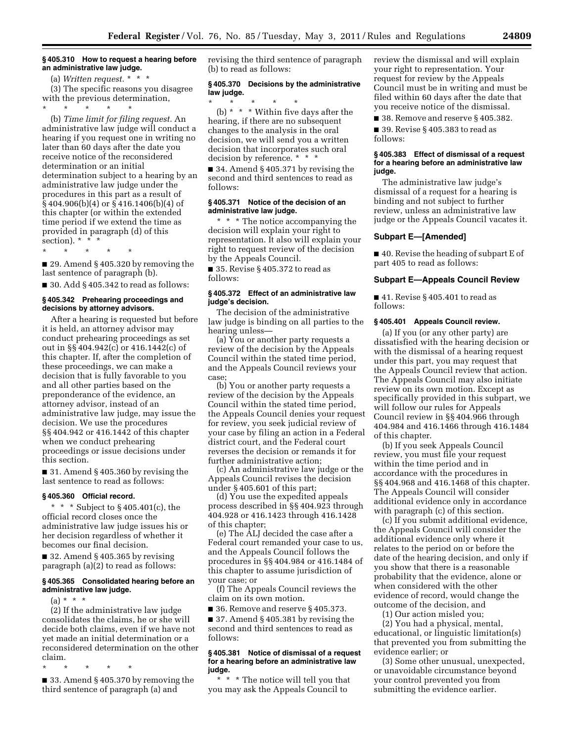## **§ 405.310 How to request a hearing before an administrative law judge.**

(a) *Written request.* \* \* \*

(3) The specific reasons you disagree with the previous determination, \* \* \* \* \*

(b) *Time limit for filing request.* An administrative law judge will conduct a hearing if you request one in writing no later than 60 days after the date you receive notice of the reconsidered determination or an initial determination subject to a hearing by an administrative law judge under the procedures in this part as a result of § 404.906(b)(4) or § 416.1406(b)(4) of this chapter (or within the extended time period if we extend the time as provided in paragraph (d) of this section).  $*$   $*$ 

\* \* \* \* \*

■ 29. Amend § 405.320 by removing the last sentence of paragraph (b).

 $\blacksquare$  30. Add § 405.342 to read as follows:

#### **§ 405.342 Prehearing proceedings and decisions by attorney advisors.**

After a hearing is requested but before it is held, an attorney advisor may conduct prehearing proceedings as set out in §§ 404.942(c) or 416.1442(c) of this chapter. If, after the completion of these proceedings, we can make a decision that is fully favorable to you and all other parties based on the preponderance of the evidence, an attorney advisor, instead of an administrative law judge, may issue the decision. We use the procedures §§ 404.942 or 416.1442 of this chapter when we conduct prehearing proceedings or issue decisions under this section.

■ 31. Amend § 405.360 by revising the last sentence to read as follows:

#### **§ 405.360 Official record.**

 $* * *$  Subject to §405.401(c), the official record closes once the administrative law judge issues his or her decision regardless of whether it becomes our final decision.

 $\blacksquare$  32. Amend § 405.365 by revising paragraph (a)(2) to read as follows:

#### **§ 405.365 Consolidated hearing before an administrative law judge.**

 $(a) * * * *$ 

(2) If the administrative law judge consolidates the claims, he or she will decide both claims, even if we have not yet made an initial determination or a reconsidered determination on the other claim.

\* \* \* \* \*

■ 33. Amend § 405.370 by removing the third sentence of paragraph (a) and

revising the third sentence of paragraph (b) to read as follows:

# **§ 405.370 Decisions by the administrative law judge.**

\* \* \* \* \* (b) \* \* \* Within five days after the hearing, if there are no subsequent changes to the analysis in the oral decision, we will send you a written decision that incorporates such oral decision by reference. \* \*

■ 34. Amend § 405.371 by revising the second and third sentences to read as follows:

### **§ 405.371 Notice of the decision of an administrative law judge.**

\* \* \* The notice accompanying the decision will explain your right to representation. It also will explain your right to request review of the decision by the Appeals Council.

■ 35. Revise § 405.372 to read as follows:

## **§ 405.372 Effect of an administrative law judge's decision.**

The decision of the administrative law judge is binding on all parties to the hearing unless—

(a) You or another party requests a review of the decision by the Appeals Council within the stated time period, and the Appeals Council reviews your case;

(b) You or another party requests a review of the decision by the Appeals Council within the stated time period, the Appeals Council denies your request for review, you seek judicial review of your case by filing an action in a Federal district court, and the Federal court reverses the decision or remands it for further administrative action;

(c) An administrative law judge or the Appeals Council revises the decision under § 405.601 of this part;

(d) You use the expedited appeals process described in §§ 404.923 through 404.928 or 416.1423 through 416.1428 of this chapter;

(e) The ALJ decided the case after a Federal court remanded your case to us, and the Appeals Council follows the procedures in §§ 404.984 or 416.1484 of this chapter to assume jurisdiction of your case; or

(f) The Appeals Council reviews the claim on its own motion.

■ 36. Remove and reserve § 405.373.

 $\blacksquare$  37. Amend § 405.381 by revising the second and third sentences to read as follows:

#### **§ 405.381 Notice of dismissal of a request for a hearing before an administrative law judge.**

\* \* \* The notice will tell you that you may ask the Appeals Council to

review the dismissal and will explain your right to representation. Your request for review by the Appeals Council must be in writing and must be filed within 60 days after the date that you receive notice of the dismissal.

■ 38. Remove and reserve § 405.382.

■ 39. Revise § 405.383 to read as follows:

#### **§ 405.383 Effect of dismissal of a request for a hearing before an administrative law judge.**

The administrative law judge's dismissal of a request for a hearing is binding and not subject to further review, unless an administrative law judge or the Appeals Council vacates it.

## **Subpart E—[Amended]**

■ 40. Revise the heading of subpart E of part 405 to read as follows:

## **Subpart E—Appeals Council Review**

■ 41. Revise § 405.401 to read as follows:

#### **§ 405.401 Appeals Council review.**

(a) If you (or any other party) are dissatisfied with the hearing decision or with the dismissal of a hearing request under this part, you may request that the Appeals Council review that action. The Appeals Council may also initiate review on its own motion. Except as specifically provided in this subpart, we will follow our rules for Appeals Council review in §§ 404.966 through 404.984 and 416.1466 through 416.1484 of this chapter.

(b) If you seek Appeals Council review, you must file your request within the time period and in accordance with the procedures in §§ 404.968 and 416.1468 of this chapter. The Appeals Council will consider additional evidence only in accordance with paragraph (c) of this section.

(c) If you submit additional evidence, the Appeals Council will consider the additional evidence only where it relates to the period on or before the date of the hearing decision, and only if you show that there is a reasonable probability that the evidence, alone or when considered with the other evidence of record, would change the outcome of the decision, and

(1) Our action misled you;

(2) You had a physical, mental, educational, or linguistic limitation(s) that prevented you from submitting the evidence earlier; or

(3) Some other unusual, unexpected, or unavoidable circumstance beyond your control prevented you from submitting the evidence earlier.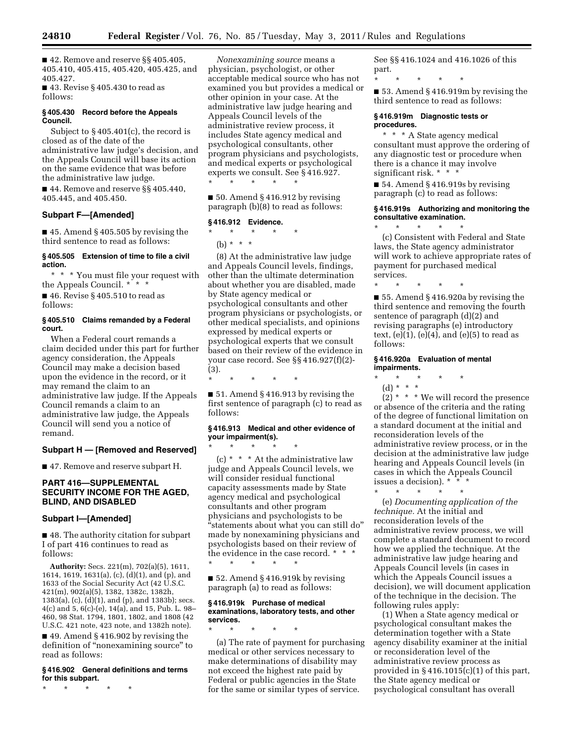■ 42. Remove and reserve §§ 405.405, 405.410, 405.415, 405.420, 405.425, and 405.427.

■ 43. Revise § 405.430 to read as follows:

# **§ 405.430 Record before the Appeals Council.**

Subject to § 405.401(c), the record is closed as of the date of the administrative law judge's decision, and the Appeals Council will base its action on the same evidence that was before the administrative law judge.

■ 44. Remove and reserve §§ 405.440, 405.445, and 405.450.

# **Subpart F—[Amended]**

■ 45. Amend § 405.505 by revising the third sentence to read as follows:

#### **§ 405.505 Extension of time to file a civil action.**

\* \* \* You must file your request with the Appeals Council. \* \* \*

■ 46. Revise § 405.510 to read as follows:

#### **§ 405.510 Claims remanded by a Federal court.**

When a Federal court remands a claim decided under this part for further agency consideration, the Appeals Council may make a decision based upon the evidence in the record, or it may remand the claim to an administrative law judge. If the Appeals Council remands a claim to an administrative law judge, the Appeals Council will send you a notice of remand.

#### **Subpart H — [Removed and Reserved]**

■ 47. Remove and reserve subpart H.

# **PART 416—SUPPLEMENTAL SECURITY INCOME FOR THE AGED, BLIND, AND DISABLED**

## **Subpart I—[Amended]**

■ 48. The authority citation for subpart I of part 416 continues to read as follows:

**Authority:** Secs. 221(m), 702(a)(5), 1611, 1614, 1619, 1631(a), (c), (d)(1), and (p), and 1633 of the Social Security Act (42 U.S.C. 421(m), 902(a)(5), 1382, 1382c, 1382h, 1383(a), (c), (d)(1), and (p), and 1383b); secs. 4(c) and 5, 6(c)-(e), 14(a), and 15, Pub. L. 98– 460, 98 Stat. 1794, 1801, 1802, and 1808 (42 U.S.C. 421 note, 423 note, and 1382h note).

 $\blacksquare$  49. Amend § 416.902 by revising the definition of ''nonexamining source'' to read as follows:

#### **§ 416.902 General definitions and terms for this subpart.**

\* \* \* \* \*

*Nonexamining source* means a physician, psychologist, or other acceptable medical source who has not examined you but provides a medical or other opinion in your case. At the administrative law judge hearing and Appeals Council levels of the administrative review process, it includes State agency medical and psychological consultants, other program physicians and psychologists, and medical experts or psychological experts we consult. See § 416.927.

 $\blacksquare$  50. Amend § 416.912 by revising paragraph (b)(8) to read as follows:

## **§ 416.912 Evidence.**

\* \* \* \* \*

\* \* \* \* \*

(b)  $* * * *$ 

(8) At the administrative law judge and Appeals Council levels, findings, other than the ultimate determination about whether you are disabled, made by State agency medical or psychological consultants and other program physicians or psychologists, or other medical specialists, and opinions expressed by medical experts or psychological experts that we consult based on their review of the evidence in your case record. See §§ 416.927(f)(2)- (3).

\* \* \* \* \*

\* \* \* \* \*

■ 51. Amend § 416.913 by revising the first sentence of paragraph (c) to read as follows:

# **§ 416.913 Medical and other evidence of your impairment(s).**

(c)  $*$   $*$   $*$  At the administrative law judge and Appeals Council levels, we will consider residual functional capacity assessments made by State agency medical and psychological consultants and other program physicians and psychologists to be ''statements about what you can still do'' made by nonexamining physicians and psychologists based on their review of the evidence in the case record. \* \* \*

\* \* \* \* \*

 $\blacksquare$  52. Amend § 416.919k by revising paragraph (a) to read as follows:

#### **§ 416.919k Purchase of medical examinations, laboratory tests, and other services.**

\* \* \* \* \* (a) The rate of payment for purchasing

medical or other services necessary to make determinations of disability may not exceed the highest rate paid by Federal or public agencies in the State for the same or similar types of service. See §§ 416.1024 and 416.1026 of this part.

\* \* \* \* \* ■ 53. Amend § 416.919m by revising the

third sentence to read as follows: **§ 416.919m Diagnostic tests or procedures.** 

\* \* \* A State agency medical consultant must approve the ordering of any diagnostic test or procedure when there is a chance it may involve significant risk. \* \* \*

■ 54. Amend § 416.919s by revising paragraph (c) to read as follows:

#### **§ 416.919s Authorizing and monitoring the consultative examination.**

\* \* \* \* \* (c) Consistent with Federal and State laws, the State agency administrator will work to achieve appropriate rates of payment for purchased medical services.

\* \* \* \* \* ■ 55. Amend § 416.920a by revising the third sentence and removing the fourth sentence of paragraph (d)(2) and revising paragraphs (e) introductory text,  $(e)(1)$ ,  $(e)(4)$ , and  $(e)(5)$  to read as follows:

#### **§ 416.920a Evaluation of mental impairments.**

- \* \* \* \* \*
	- (d) \* \* \*

 $(2)$  \* \* \* We will record the presence or absence of the criteria and the rating of the degree of functional limitation on a standard document at the initial and reconsideration levels of the administrative review process, or in the decision at the administrative law judge hearing and Appeals Council levels (in cases in which the Appeals Council issues a decision). \* \* \*

\* \* \* \* \*

(e) *Documenting application of the technique.* At the initial and reconsideration levels of the administrative review process, we will complete a standard document to record how we applied the technique. At the administrative law judge hearing and Appeals Council levels (in cases in which the Appeals Council issues a decision), we will document application of the technique in the decision. The following rules apply:

(1) When a State agency medical or psychological consultant makes the determination together with a State agency disability examiner at the initial or reconsideration level of the administrative review process as provided in  $§$  416.1015(c)(1) of this part, the State agency medical or psychological consultant has overall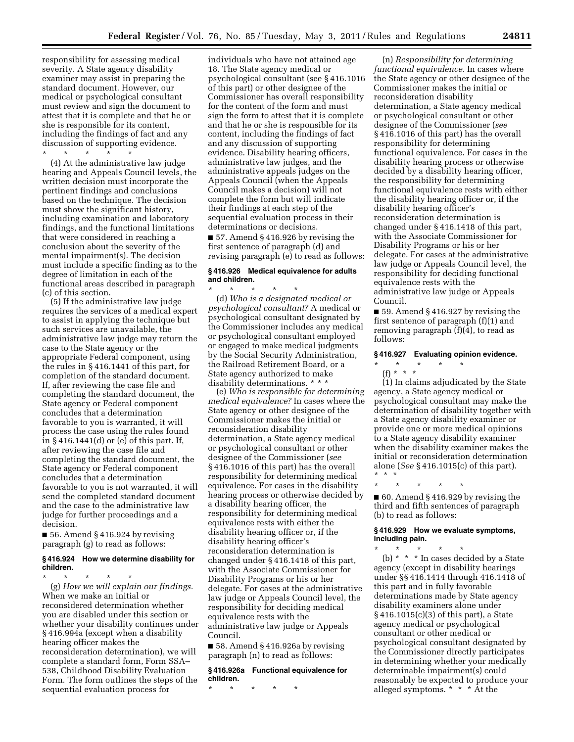responsibility for assessing medical severity. A State agency disability examiner may assist in preparing the standard document. However, our medical or psychological consultant must review and sign the document to attest that it is complete and that he or she is responsible for its content, including the findings of fact and any discussion of supporting evidence.

\* \* \* \* \* (4) At the administrative law judge hearing and Appeals Council levels, the written decision must incorporate the pertinent findings and conclusions based on the technique. The decision must show the significant history, including examination and laboratory findings, and the functional limitations that were considered in reaching a conclusion about the severity of the mental impairment(s). The decision must include a specific finding as to the degree of limitation in each of the functional areas described in paragraph (c) of this section.

(5) If the administrative law judge requires the services of a medical expert to assist in applying the technique but such services are unavailable, the administrative law judge may return the case to the State agency or the appropriate Federal component, using the rules in § 416.1441 of this part, for completion of the standard document. If, after reviewing the case file and completing the standard document, the State agency or Federal component concludes that a determination favorable to you is warranted, it will process the case using the rules found in § 416.1441(d) or (e) of this part. If, after reviewing the case file and completing the standard document, the State agency or Federal component concludes that a determination favorable to you is not warranted, it will send the completed standard document and the case to the administrative law judge for further proceedings and a decision.

■ 56. Amend § 416.924 by revising paragraph (g) to read as follows:

#### **§ 416.924 How we determine disability for children.**

\* \* \* \* \* (g) *How we will explain our findings.*  When we make an initial or reconsidered determination whether you are disabled under this section or whether your disability continues under § 416.994a (except when a disability hearing officer makes the reconsideration determination), we will complete a standard form, Form SSA– 538, Childhood Disability Evaluation Form. The form outlines the steps of the sequential evaluation process for

individuals who have not attained age 18. The State agency medical or psychological consultant (see § 416.1016 of this part) or other designee of the Commissioner has overall responsibility for the content of the form and must sign the form to attest that it is complete and that he or she is responsible for its content, including the findings of fact and any discussion of supporting evidence. Disability hearing officers, administrative law judges, and the administrative appeals judges on the Appeals Council (when the Appeals Council makes a decision) will not complete the form but will indicate their findings at each step of the sequential evaluation process in their determinations or decisions.

■ 57. Amend § 416.926 by revising the first sentence of paragraph (d) and revising paragraph (e) to read as follows:

# **§ 416.926 Medical equivalence for adults and children.**

\* \* \* \* \* (d) *Who is a designated medical or psychological consultant?* A medical or psychological consultant designated by the Commissioner includes any medical or psychological consultant employed or engaged to make medical judgments by the Social Security Administration, the Railroad Retirement Board, or a State agency authorized to make disability determinations. \* \* \*

(e) *Who is responsible for determining medical equivalence?* In cases where the State agency or other designee of the Commissioner makes the initial or reconsideration disability determination, a State agency medical or psychological consultant or other designee of the Commissioner (*see*  § 416.1016 of this part) has the overall responsibility for determining medical equivalence. For cases in the disability hearing process or otherwise decided by a disability hearing officer, the responsibility for determining medical equivalence rests with either the disability hearing officer or, if the disability hearing officer's reconsideration determination is changed under § 416.1418 of this part, with the Associate Commissioner for Disability Programs or his or her delegate. For cases at the administrative law judge or Appeals Council level, the responsibility for deciding medical equivalence rests with the administrative law judge or Appeals Council.

 $\blacksquare$  58. Amend § 416.926a by revising paragraph (n) to read as follows:

#### **§ 416.926a Functional equivalence for children.**

\* \* \* \* \*

(n) *Responsibility for determining functional equivalence.* In cases where the State agency or other designee of the Commissioner makes the initial or reconsideration disability determination, a State agency medical or psychological consultant or other designee of the Commissioner (*see*  § 416.1016 of this part) has the overall responsibility for determining functional equivalence. For cases in the disability hearing process or otherwise decided by a disability hearing officer, the responsibility for determining functional equivalence rests with either the disability hearing officer or, if the disability hearing officer's reconsideration determination is changed under § 416.1418 of this part, with the Associate Commissioner for Disability Programs or his or her delegate. For cases at the administrative law judge or Appeals Council level, the responsibility for deciding functional equivalence rests with the administrative law judge or Appeals Council.

■ 59. Amend § 416.927 by revising the first sentence of paragraph (f)(1) and removing paragraph (f)(4), to read as follows:

# **§ 416.927 Evaluating opinion evidence.**

- \* \* \* \* \*
- (f) \* \* \*

(1) In claims adjudicated by the State agency, a State agency medical or psychological consultant may make the determination of disability together with a State agency disability examiner or provide one or more medical opinions to a State agency disability examiner when the disability examiner makes the initial or reconsideration determination alone (*See* § 416.1015(c) of this part). \* \* \*

\* \* \* \* \*

 $\blacksquare$  60. Amend § 416.929 by revising the third and fifth sentences of paragraph (b) to read as follows:

# **§ 416.929 How we evaluate symptoms, including pain.**

\* \* \* \* \* (b) \* \* \* In cases decided by a State agency (except in disability hearings under §§ 416.1414 through 416.1418 of this part and in fully favorable determinations made by State agency disability examiners alone under § 416.1015(c)(3) of this part), a State agency medical or psychological consultant or other medical or psychological consultant designated by the Commissioner directly participates in determining whether your medically determinable impairment(s) could reasonably be expected to produce your alleged symptoms. \* \* \* At the